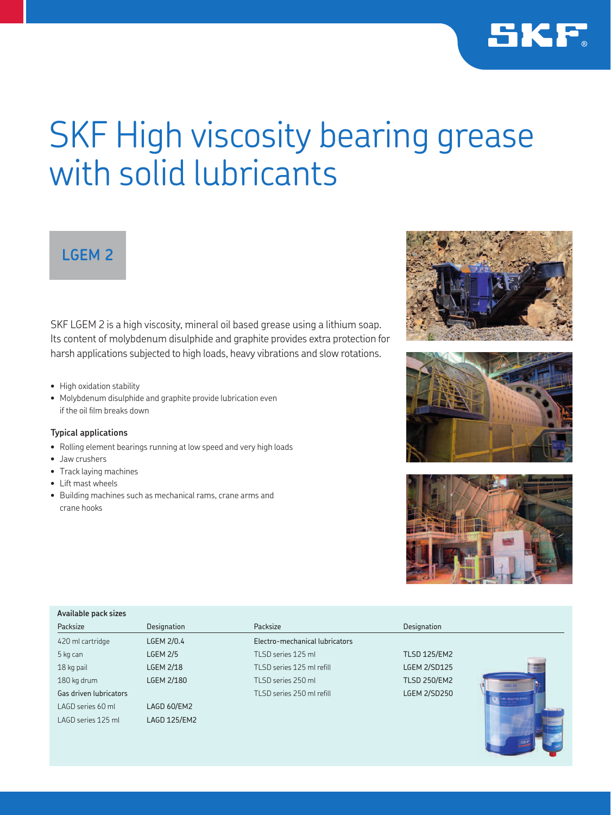

# SKF High viscosity bearing grease with solid lubricants

## **LGEM 2**

SKF LGEM 2 is a high viscosity, mineral oil based grease using a lithium soap. Its content of molybdenum disulphide and graphite provides extra protection for harsh applications subjected to high loads, heavy vibrations and slow rotations.

- High oxidation stability
- Molybdenum disulphide and graphite provide lubrication even if the oil film breaks down

## **Typical applications**

- Rolling element bearings running at low speed and very high loads
- Jaw crushers
- Track laying machines
- Lift mast wheels
- Building machines such as mechanical rams, crane arms and crane hooks







| Available pack sizes   |                   |                                |                     |  |  |
|------------------------|-------------------|--------------------------------|---------------------|--|--|
| Packsize               | Designation       | Packsize                       | Designation         |  |  |
| 420 ml cartridge       | LGEM 2/0.4        | Electro-mechanical lubricators |                     |  |  |
| 5 kg can               | <b>LGEM 2/5</b>   | TLSD series 125 ml             | <b>TLSD 125/EM2</b> |  |  |
| 18 kg pail             | <b>LGEM 2/18</b>  | TLSD series 125 ml refill      | <b>LGEM 2/SD125</b> |  |  |
| 180 kg drum            | <b>LGEM 2/180</b> | TLSD series 250 ml             | <b>TLSD 250/EM2</b> |  |  |
| Gas driven lubricators |                   | TLSD series 250 ml refill      | <b>LGEM 2/SD250</b> |  |  |
| LAGD series 60 ml      | LAGD 60/EM2       |                                | SEE Huaring Press.  |  |  |
| LAGD series 125 ml     | LAGD 125/EM2      |                                |                     |  |  |